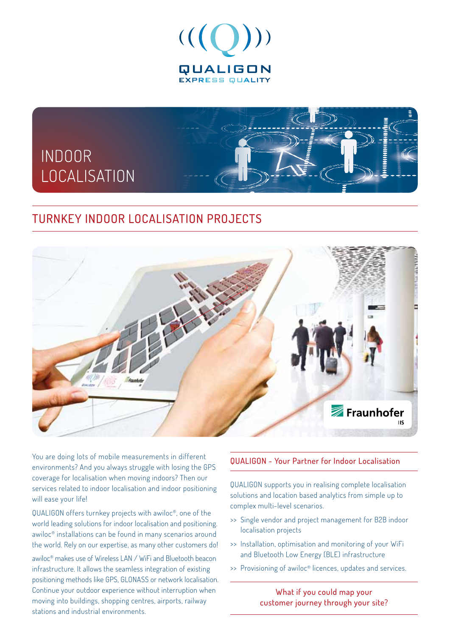



## TURNKEY INDOOR LOCALISATION PROJECTS



You are doing lots of mobile measurements in different environments? And you always struggle with losing the GPS coverage for localisation when moving indoors? Then our services related to indoor localisation and indoor positioning will ease your life!

QUALIGON offers turnkey projects with awiloc®, one of the world leading solutions for indoor localisation and positioning. awiloc® installations can be found in many scenarios around the world. Rely on our expertise, as many other customers do!

awiloc® makes use of Wireless LAN / WiFi and Bluetooth beacon infrastructure. It allows the seamless integration of existing positioning methods like GPS, GLONASS or network localisation. Continue your outdoor experience without interruption when moving into buildings, shopping centres, airports, railway stations and industrial environments.

## QUALIGON - Your Partner for Indoor Localisation

QUALIGON supports you in realising complete localisation solutions and location based analytics from simple up to complex multi-level scenarios.

- >> Single vendor and project management for B2B indoor localisation projects
- >> Installation, optimisation and monitoring of your WiFi and Bluetooth Low Energy (BLE) infrastructure
- >> Provisioning of awiloc® licences, updates and services.

What if you could map your customer journey through your site?